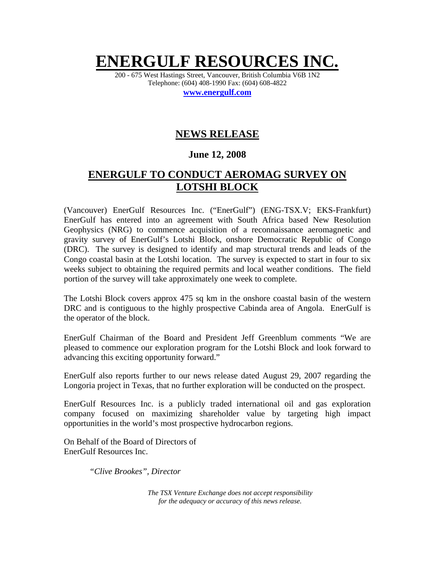# **ENERGULF RESOURC**

200 - 675 West Hastings Street, Vancouver, British Columbia V6B 1N2 Telephone: (604) 408-1990 Fax: (604) 608-4822

**www.energulf.com**

## **NEWS RELEASE**

### **June 12, 2008**

## **ENERGULF TO CONDUCT AEROMAG SURVEY ON LOTSHI BLOCK**

(Vancouver) EnerGulf Resources Inc. ("EnerGulf") (ENG-TSX.V; EKS-Frankfurt) EnerGulf has entered into an agreement with South Africa based New Resolution Geophysics (NRG) to commence acquisition of a reconnaissance aeromagnetic and gravity survey of EnerGulf's Lotshi Block, onshore Democratic Republic of Congo (DRC). The survey is designed to identify and map structural trends and leads of the Congo coastal basin at the Lotshi location. The survey is expected to start in four to six weeks subject to obtaining the required permits and local weather conditions. The field portion of the survey will take approximately one week to complete.

The Lotshi Block covers approx 475 sq km in the onshore coastal basin of the western DRC and is contiguous to the highly prospective Cabinda area of Angola. EnerGulf is the operator of the block.

EnerGulf Chairman of the Board and President Jeff Greenblum comments "We are pleased to commence our exploration program for the Lotshi Block and look forward to advancing this exciting opportunity forward."

EnerGulf also reports further to our news release dated August 29, 2007 regarding the Longoria project in Texas, that no further exploration will be conducted on the prospect.

EnerGulf Resources Inc. is a publicly traded international oil and gas exploration company focused on maximizing shareholder value by targeting high impact opportunities in the world's most prospective hydrocarbon regions.

On Behalf of the Board of Directors of EnerGulf Resources Inc.

*"Clive Brookes", Director* 

*The TSX Venture Exchange does not accept responsibility for the adequacy or accuracy of this news release.*